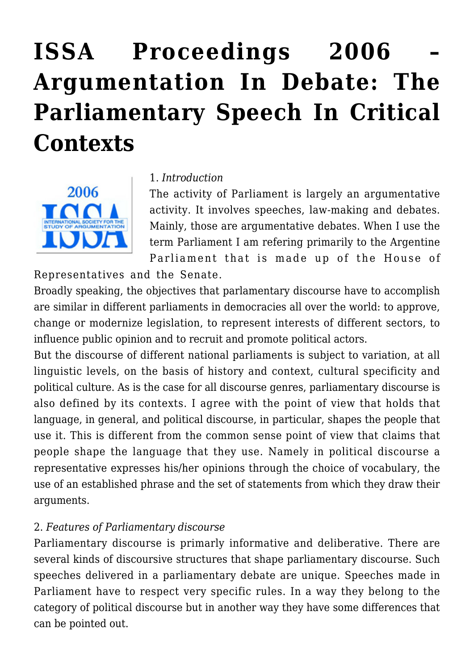# **[ISSA Proceedings 2006 –](https://rozenbergquarterly.com/issa-proceedings-2006-argumentation-in-debate-the-parliamentary-speech-in-critical-contexts/) [Argumentation In Debate: The](https://rozenbergquarterly.com/issa-proceedings-2006-argumentation-in-debate-the-parliamentary-speech-in-critical-contexts/) [Parliamentary Speech In Critical](https://rozenbergquarterly.com/issa-proceedings-2006-argumentation-in-debate-the-parliamentary-speech-in-critical-contexts/) [Contexts](https://rozenbergquarterly.com/issa-proceedings-2006-argumentation-in-debate-the-parliamentary-speech-in-critical-contexts/)**



#### 1. *Introduction*

The activity of Parliament is largely an argumentative activity. It involves speeches, law-making and debates. Mainly, those are argumentative debates. When I use the term Parliament I am refering primarily to the Argentine Parliament that is made up of the House of

Representatives and the Senate.

Broadly speaking, the objectives that parlamentary discourse have to accomplish are similar in different parliaments in democracies all over the world: to approve, change or modernize legislation, to represent interests of different sectors, to influence public opinion and to recruit and promote political actors.

But the discourse of different national parliaments is subject to variation, at all linguistic levels, on the basis of history and context, cultural specificity and political culture. As is the case for all discourse genres, parliamentary discourse is also defined by its contexts. I agree with the point of view that holds that language, in general, and political discourse, in particular, shapes the people that use it. This is different from the common sense point of view that claims that people shape the language that they use. Namely in political discourse a representative expresses his/her opinions through the choice of vocabulary, the use of an established phrase and the set of statements from which they draw their arguments.

#### 2. *Features of Parliamentary discourse*

Parliamentary discourse is primarly informative and deliberative. There are several kinds of discoursive structures that shape parliamentary discourse. Such speeches delivered in a parliamentary debate are unique. Speeches made in Parliament have to respect very specific rules. In a way they belong to the category of political discourse but in another way they have some differences that can be pointed out.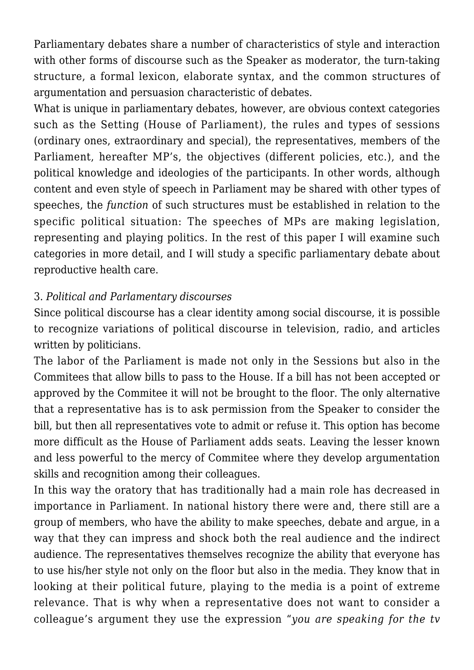Parliamentary debates share a number of characteristics of style and interaction with other forms of discourse such as the Speaker as moderator, the turn-taking structure, a formal lexicon, elaborate syntax, and the common structures of argumentation and persuasion characteristic of debates.

What is unique in parliamentary debates, however, are obvious context categories such as the Setting (House of Parliament), the rules and types of sessions (ordinary ones, extraordinary and special), the representatives, members of the Parliament, hereafter MP's, the objectives (different policies, etc.), and the political knowledge and ideologies of the participants. In other words, although content and even style of speech in Parliament may be shared with other types of speeches, the *function* of such structures must be established in relation to the specific political situation: The speeches of MPs are making legislation, representing and playing politics. In the rest of this paper I will examine such categories in more detail, and I will study a specific parliamentary debate about reproductive health care.

## 3. *Political and Parlamentary discourses*

Since political discourse has a clear identity among social discourse, it is possible to recognize variations of political discourse in television, radio, and articles written by politicians.

The labor of the Parliament is made not only in the Sessions but also in the Commitees that allow bills to pass to the House. If a bill has not been accepted or approved by the Commitee it will not be brought to the floor. The only alternative that a representative has is to ask permission from the Speaker to consider the bill, but then all representatives vote to admit or refuse it. This option has become more difficult as the House of Parliament adds seats. Leaving the lesser known and less powerful to the mercy of Commitee where they develop argumentation skills and recognition among their colleagues.

In this way the oratory that has traditionally had a main role has decreased in importance in Parliament. In national history there were and, there still are a group of members, who have the ability to make speeches, debate and argue, in a way that they can impress and shock both the real audience and the indirect audience. The representatives themselves recognize the ability that everyone has to use his/her style not only on the floor but also in the media. They know that in looking at their political future, playing to the media is a point of extreme relevance. That is why when a representative does not want to consider a colleague's argument they use the expression "*you are speaking for the tv*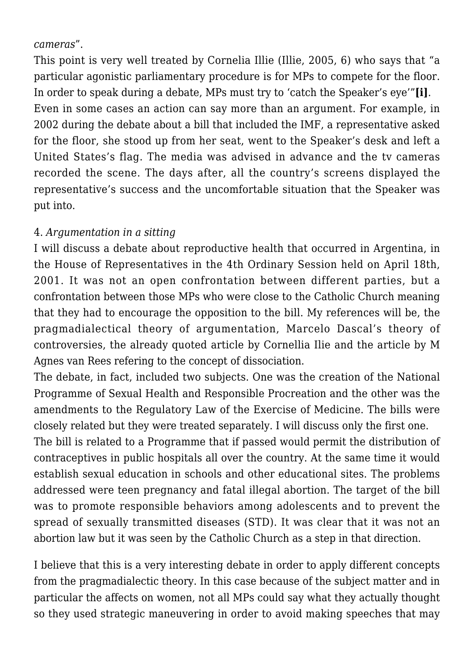#### *cameras*".

This point is very well treated by Cornelia Illie (Illie, 2005, 6) who says that "a particular agonistic parliamentary procedure is for MPs to compete for the floor. In order to speak during a debate, MPs must try to 'catch the Speaker's eye'"**[i]**. Even in some cases an action can say more than an argument. For example, in 2002 during the debate about a bill that included the IMF, a representative asked for the floor, she stood up from her seat, went to the Speaker's desk and left a United States's flag. The media was advised in advance and the tv cameras recorded the scene. The days after, all the country's screens displayed the representative's success and the uncomfortable situation that the Speaker was put into.

#### 4. *Argumentation in a sitting*

I will discuss a debate about reproductive health that occurred in Argentina, in the House of Representatives in the 4th Ordinary Session held on April 18th, 2001. It was not an open confrontation between different parties, but a confrontation between those MPs who were close to the Catholic Church meaning that they had to encourage the opposition to the bill. My references will be, the pragmadialectical theory of argumentation, Marcelo Dascal's theory of controversies, the already quoted article by Cornellia Ilie and the article by M Agnes van Rees refering to the concept of dissociation.

The debate, in fact, included two subjects. One was the creation of the National Programme of Sexual Health and Responsible Procreation and the other was the amendments to the Regulatory Law of the Exercise of Medicine. The bills were closely related but they were treated separately. I will discuss only the first one.

The bill is related to a Programme that if passed would permit the distribution of contraceptives in public hospitals all over the country. At the same time it would establish sexual education in schools and other educational sites. The problems addressed were teen pregnancy and fatal illegal abortion. The target of the bill was to promote responsible behaviors among adolescents and to prevent the spread of sexually transmitted diseases (STD). It was clear that it was not an abortion law but it was seen by the Catholic Church as a step in that direction.

I believe that this is a very interesting debate in order to apply different concepts from the pragmadialectic theory. In this case because of the subject matter and in particular the affects on women, not all MPs could say what they actually thought so they used strategic maneuvering in order to avoid making speeches that may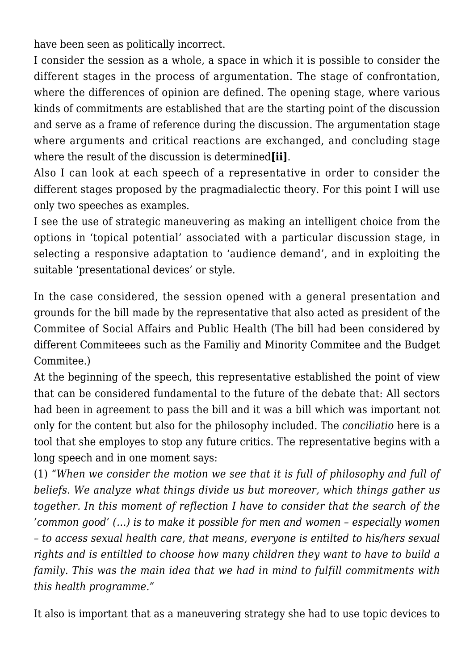have been seen as politically incorrect.

I consider the session as a whole, a space in which it is possible to consider the different stages in the process of argumentation. The stage of confrontation, where the differences of opinion are defined. The opening stage, where various kinds of commitments are established that are the starting point of the discussion and serve as a frame of reference during the discussion. The argumentation stage where arguments and critical reactions are exchanged, and concluding stage where the result of the discussion is determined**[ii]**.

Also I can look at each speech of a representative in order to consider the different stages proposed by the pragmadialectic theory. For this point I will use only two speeches as examples.

I see the use of strategic maneuvering as making an intelligent choice from the options in 'topical potential' associated with a particular discussion stage, in selecting a responsive adaptation to 'audience demand', and in exploiting the suitable 'presentational devices' or style.

In the case considered, the session opened with a general presentation and grounds for the bill made by the representative that also acted as president of the Commitee of Social Affairs and Public Health (The bill had been considered by different Commiteees such as the Familiy and Minority Commitee and the Budget Commitee.)

At the beginning of the speech, this representative established the point of view that can be considered fundamental to the future of the debate that: All sectors had been in agreement to pass the bill and it was a bill which was important not only for the content but also for the philosophy included. The *conciliatio* here is a tool that she employes to stop any future critics. The representative begins with a long speech and in one moment says:

(1) "*When we consider the motion we see that it is full of philosophy and full of beliefs. We analyze what things divide us but moreover, which things gather us together. In this moment of reflection I have to consider that the search of the 'common good' (…) is to make it possible for men and women – especially women – to access sexual health care, that means, everyone is entilted to his/hers sexual rights and is entiltled to choose how many children they want to have to build a family. This was the main idea that we had in mind to fulfill commitments with this health programme."*

It also is important that as a maneuvering strategy she had to use topic devices to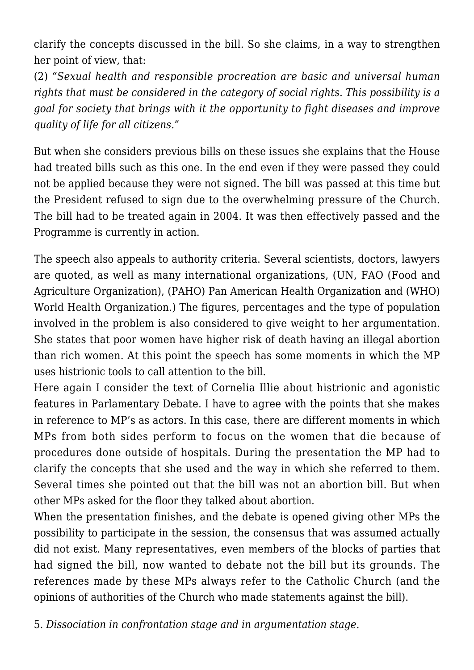clarify the concepts discussed in the bill. So she claims, in a way to strengthen her point of view, that:

(2) *"Sexual health and responsible procreation are basic and universal human rights that must be considered in the category of social rights. This possibility is a goal for society that brings with it the opportunity to fight diseases and improve quality of life for all citizens."*

But when she considers previous bills on these issues she explains that the House had treated bills such as this one. In the end even if they were passed they could not be applied because they were not signed. The bill was passed at this time but the President refused to sign due to the overwhelming pressure of the Church. The bill had to be treated again in 2004. It was then effectively passed and the Programme is currently in action.

The speech also appeals to authority criteria. Several scientists, doctors, lawyers are quoted, as well as many international organizations, (UN, FAO (Food and Agriculture Organization), (PAHO) Pan American Health Organization and (WHO) World Health Organization.) The figures, percentages and the type of population involved in the problem is also considered to give weight to her argumentation. She states that poor women have higher risk of death having an illegal abortion than rich women. At this point the speech has some moments in which the MP uses histrionic tools to call attention to the bill.

Here again I consider the text of Cornelia Illie about histrionic and agonistic features in Parlamentary Debate. I have to agree with the points that she makes in reference to MP's as actors. In this case, there are different moments in which MPs from both sides perform to focus on the women that die because of procedures done outside of hospitals. During the presentation the MP had to clarify the concepts that she used and the way in which she referred to them. Several times she pointed out that the bill was not an abortion bill. But when other MPs asked for the floor they talked about abortion.

When the presentation finishes, and the debate is opened giving other MPs the possibility to participate in the session, the consensus that was assumed actually did not exist. Many representatives, even members of the blocks of parties that had signed the bill, now wanted to debate not the bill but its grounds. The references made by these MPs always refer to the Catholic Church (and the opinions of authorities of the Church who made statements against the bill).

5. *Dissociation in confrontation stage and in argumentation stage.*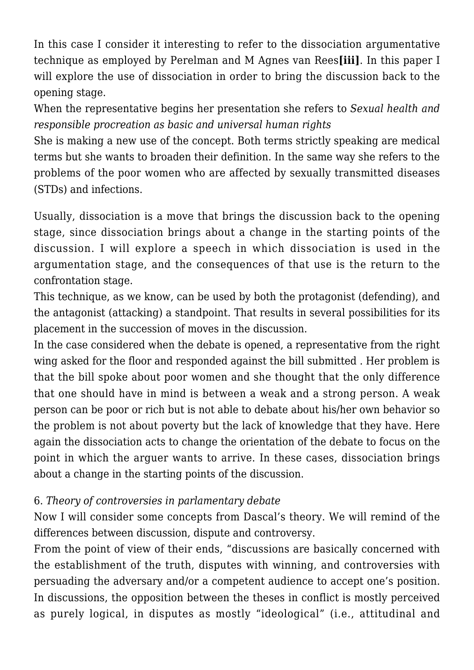In this case I consider it interesting to refer to the dissociation argumentative technique as employed by Perelman and M Agnes van Rees**[iii]**. In this paper I will explore the use of dissociation in order to bring the discussion back to the opening stage.

When the representative begins her presentation she refers to *Sexual health and responsible procreation as basic and universal human rights*

She is making a new use of the concept. Both terms strictly speaking are medical terms but she wants to broaden their definition. In the same way she refers to the problems of the poor women who are affected by sexually transmitted diseases (STDs) and infections.

Usually, dissociation is a move that brings the discussion back to the opening stage, since dissociation brings about a change in the starting points of the discussion. I will explore a speech in which dissociation is used in the argumentation stage, and the consequences of that use is the return to the confrontation stage.

This technique, as we know, can be used by both the protagonist (defending), and the antagonist (attacking) a standpoint. That results in several possibilities for its placement in the succession of moves in the discussion.

In the case considered when the debate is opened, a representative from the right wing asked for the floor and responded against the bill submitted . Her problem is that the bill spoke about poor women and she thought that the only difference that one should have in mind is between a weak and a strong person. A weak person can be poor or rich but is not able to debate about his/her own behavior so the problem is not about poverty but the lack of knowledge that they have. Here again the dissociation acts to change the orientation of the debate to focus on the point in which the arguer wants to arrive. In these cases, dissociation brings about a change in the starting points of the discussion.

## 6. *Theory of controversies in parlamentary debate*

Now I will consider some concepts from Dascal's theory. We will remind of the differences between discussion, dispute and controversy.

From the point of view of their ends, "discussions are basically concerned with the establishment of the truth, disputes with winning, and controversies with persuading the adversary and/or a competent audience to accept one's position. In discussions, the opposition between the theses in conflict is mostly perceived as purely logical, in disputes as mostly "ideological" (i.e., attitudinal and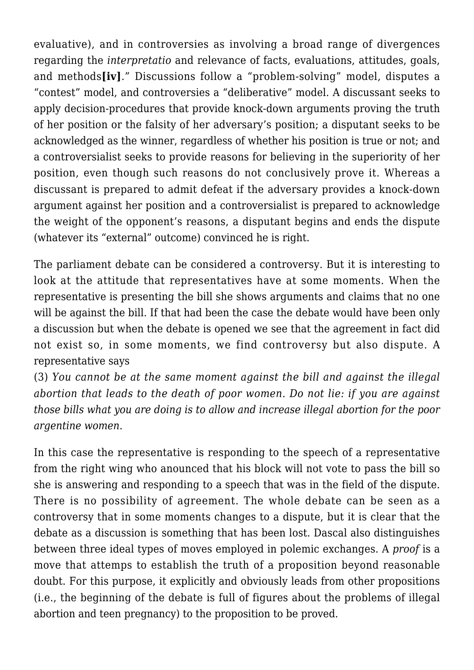evaluative), and in controversies as involving a broad range of divergences regarding the *interpretatio* and relevance of facts, evaluations, attitudes, goals, and methods**[iv]**." Discussions follow a "problem-solving" model, disputes a "contest" model, and controversies a "deliberative" model. A discussant seeks to apply decision-procedures that provide knock-down arguments proving the truth of her position or the falsity of her adversary's position; a disputant seeks to be acknowledged as the winner, regardless of whether his position is true or not; and a controversialist seeks to provide reasons for believing in the superiority of her position, even though such reasons do not conclusively prove it. Whereas a discussant is prepared to admit defeat if the adversary provides a knock-down argument against her position and a controversialist is prepared to acknowledge the weight of the opponent's reasons, a disputant begins and ends the dispute (whatever its "external" outcome) convinced he is right.

The parliament debate can be considered a controversy. But it is interesting to look at the attitude that representatives have at some moments. When the representative is presenting the bill she shows arguments and claims that no one will be against the bill. If that had been the case the debate would have been only a discussion but when the debate is opened we see that the agreement in fact did not exist so, in some moments, we find controversy but also dispute. A representative says

(3) *You cannot be at the same moment against the bill and against the illegal abortion that leads to the death of poor women. Do not lie: if you are against those bills what you are doing is to allow and increase illegal abortion for the poor argentine women.*

In this case the representative is responding to the speech of a representative from the right wing who anounced that his block will not vote to pass the bill so she is answering and responding to a speech that was in the field of the dispute. There is no possibility of agreement. The whole debate can be seen as a controversy that in some moments changes to a dispute, but it is clear that the debate as a discussion is something that has been lost. Dascal also distinguishes between three ideal types of moves employed in polemic exchanges. A *proof* is a move that attemps to establish the truth of a proposition beyond reasonable doubt. For this purpose, it explicitly and obviously leads from other propositions (i.e., the beginning of the debate is full of figures about the problems of illegal abortion and teen pregnancy) to the proposition to be proved.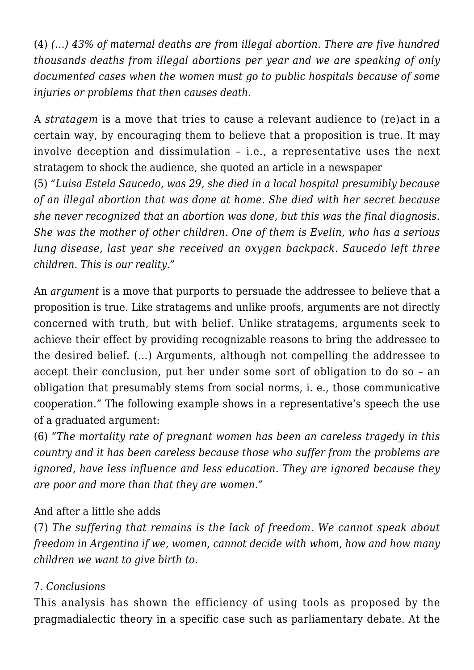(4) *(…) 43% of maternal deaths are from illegal abortion. There are five hundred thousands deaths from illegal abortions per year and we are speaking of only documented cases when the women must go to public hospitals because of some injuries or problems that then causes death.*

A *stratagem* is a move that tries to cause a relevant audience to (re)act in a certain way, by encouraging them to believe that a proposition is true. It may involve deception and dissimulation – i.e., a representative uses the next stratagem to shock the audience, she quoted an article in a newspaper

(5) *"Luisa Estela Saucedo, was 29, she died in a local hospital presumibly because of an illegal abortion that was done at home. She died with her secret because she never recognized that an abortion was done, but this was the final diagnosis. She was the mother of other children. One of them is Evelin, who has a serious lung disease, last year she received an oxygen backpack. Saucedo left three children. This is our reality."*

An *argument* is a move that purports to persuade the addressee to believe that a proposition is true. Like stratagems and unlike proofs, arguments are not directly concerned with truth, but with belief. Unlike stratagems, arguments seek to achieve their effect by providing recognizable reasons to bring the addressee to the desired belief. (…) Arguments, although not compelling the addressee to accept their conclusion, put her under some sort of obligation to do so – an obligation that presumably stems from social norms, i. e., those communicative cooperation." The following example shows in a representative's speech the use of a graduated argument:

(6) "*The mortality rate of pregnant women has been an careless tragedy in this country and it has been careless because those who suffer from the problems are ignored, have less influence and less education. They are ignored because they are poor and more than that they are women."*

## And after a little she adds

(7) *The suffering that remains is the lack of freedom. We cannot speak about freedom in Argentina if we, women, cannot decide with whom, how and how many children we want to give birth to.*

## 7. *Conclusions*

This analysis has shown the efficiency of using tools as proposed by the pragmadialectic theory in a specific case such as parliamentary debate. At the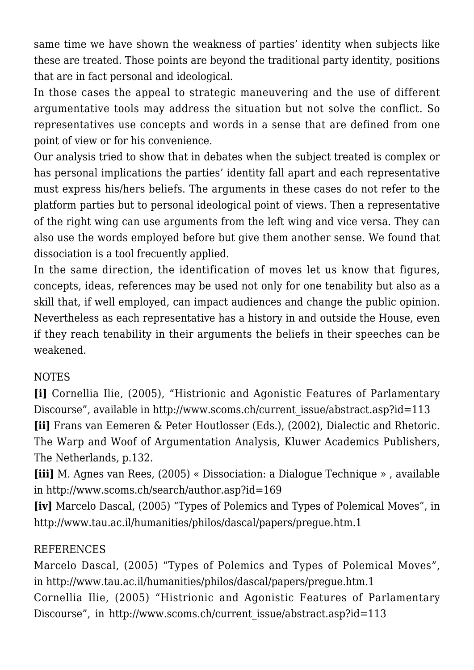same time we have shown the weakness of parties' identity when subjects like these are treated. Those points are beyond the traditional party identity, positions that are in fact personal and ideological.

In those cases the appeal to strategic maneuvering and the use of different argumentative tools may address the situation but not solve the conflict. So representatives use concepts and words in a sense that are defined from one point of view or for his convenience.

Our analysis tried to show that in debates when the subject treated is complex or has personal implications the parties' identity fall apart and each representative must express his/hers beliefs. The arguments in these cases do not refer to the platform parties but to personal ideological point of views. Then a representative of the right wing can use arguments from the left wing and vice versa. They can also use the words employed before but give them another sense. We found that dissociation is a tool frecuently applied.

In the same direction, the identification of moves let us know that figures, concepts, ideas, references may be used not only for one tenability but also as a skill that, if well employed, can impact audiences and change the public opinion. Nevertheless as each representative has a history in and outside the House, even if they reach tenability in their arguments the beliefs in their speeches can be weakened.

## NOTES

**[i]** Cornellia Ilie, (2005), "Histrionic and Agonistic Features of Parlamentary Discourse", available in http://www.scoms.ch/current\_issue/abstract.asp?id=113 **[ii]** Frans van Eemeren & Peter Houtlosser (Eds.), (2002), Dialectic and Rhetoric. The Warp and Woof of Argumentation Analysis, Kluwer Academics Publishers, The Netherlands, p.132.

**[iii]** M. Agnes van Rees, (2005) « Dissociation: a Dialogue Technique » , available in http://www.scoms.ch/search/author.asp?id=169

**[iv]** Marcelo Dascal, (2005) "Types of Polemics and Types of Polemical Moves", in http://www.tau.ac.il/humanities/philos/dascal/papers/pregue.htm.1

## REFERENCES

Marcelo Dascal, (2005) "Types of Polemics and Types of Polemical Moves", in http://www.tau.ac.il/humanities/philos/dascal/papers/pregue.htm.1 Cornellia Ilie, (2005) "Histrionic and Agonistic Features of Parlamentary Discourse", in http://www.scoms.ch/current\_issue/abstract.asp?id=113